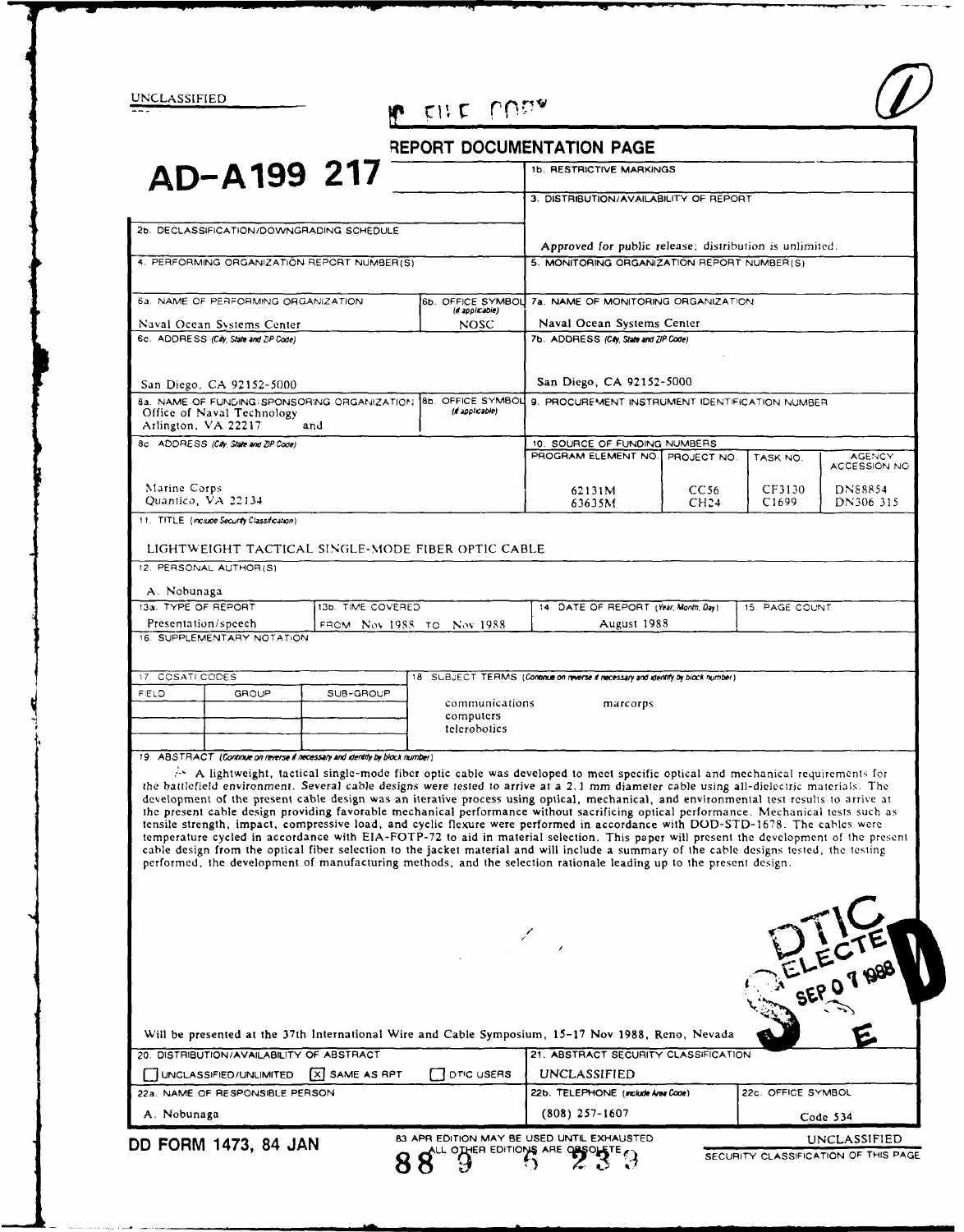UNCLASSIFIED

# P EILE MON

| REPORT DOCUMENTATION PAGE |  |  |  |  |
|---------------------------|--|--|--|--|
|---------------------------|--|--|--|--|

|                                                             | AD-A199 217                                       |                                                                              |                                                         | <b>1b. RESTRICTIVE MARKINGS</b>                                                                                                                                                                                                                                                                                                                                                                                                                                                                                                                                                                                                                                                                                                                                                                                                                                                                                                                                                                                                                                                                           |                  |                    |                               |  |
|-------------------------------------------------------------|---------------------------------------------------|------------------------------------------------------------------------------|---------------------------------------------------------|-----------------------------------------------------------------------------------------------------------------------------------------------------------------------------------------------------------------------------------------------------------------------------------------------------------------------------------------------------------------------------------------------------------------------------------------------------------------------------------------------------------------------------------------------------------------------------------------------------------------------------------------------------------------------------------------------------------------------------------------------------------------------------------------------------------------------------------------------------------------------------------------------------------------------------------------------------------------------------------------------------------------------------------------------------------------------------------------------------------|------------------|--------------------|-------------------------------|--|
|                                                             |                                                   |                                                                              |                                                         | 3. DISTRIBUTION/AVAILABILITY OF REPORT                                                                                                                                                                                                                                                                                                                                                                                                                                                                                                                                                                                                                                                                                                                                                                                                                                                                                                                                                                                                                                                                    |                  |                    |                               |  |
|                                                             | 2b. DECLASSIFICATION/DOWNGRADING SCHEDULE         |                                                                              |                                                         |                                                                                                                                                                                                                                                                                                                                                                                                                                                                                                                                                                                                                                                                                                                                                                                                                                                                                                                                                                                                                                                                                                           |                  |                    |                               |  |
|                                                             |                                                   |                                                                              | Approved for public release; distribution is unlimited. |                                                                                                                                                                                                                                                                                                                                                                                                                                                                                                                                                                                                                                                                                                                                                                                                                                                                                                                                                                                                                                                                                                           |                  |                    |                               |  |
| 4. PERFORMING ORGANIZATION REPORT NUMBER(S)                 |                                                   |                                                                              | 5. MONITORING ORGANIZATION REPORT NUMBER(S)             |                                                                                                                                                                                                                                                                                                                                                                                                                                                                                                                                                                                                                                                                                                                                                                                                                                                                                                                                                                                                                                                                                                           |                  |                    |                               |  |
|                                                             | 6a. NAME OF PERFORMING ORGANIZATION               |                                                                              | 6b. OFFICE SYMBOL                                       | 7a. NAME OF MONITORING ORGANIZATION                                                                                                                                                                                                                                                                                                                                                                                                                                                                                                                                                                                                                                                                                                                                                                                                                                                                                                                                                                                                                                                                       |                  |                    |                               |  |
| (if appicable)<br><b>NOSC</b><br>Naval Ocean Systems Center |                                                   | Naval Ocean Systems Center                                                   |                                                         |                                                                                                                                                                                                                                                                                                                                                                                                                                                                                                                                                                                                                                                                                                                                                                                                                                                                                                                                                                                                                                                                                                           |                  |                    |                               |  |
|                                                             | 6c. ADDRESS (City, State and ZIP Code)            |                                                                              |                                                         | 7b. ADDRESS (City, State and ZIP Code)                                                                                                                                                                                                                                                                                                                                                                                                                                                                                                                                                                                                                                                                                                                                                                                                                                                                                                                                                                                                                                                                    |                  |                    |                               |  |
|                                                             | San Diego, CA 92152-5000                          |                                                                              |                                                         | San Diego, CA 92152-5000                                                                                                                                                                                                                                                                                                                                                                                                                                                                                                                                                                                                                                                                                                                                                                                                                                                                                                                                                                                                                                                                                  |                  |                    |                               |  |
|                                                             | Office of Naval Technology<br>Arlington, VA 22217 | 8a. NAME OF FUNDING/SPONSORING ORGANIZATION.<br>and                          | 8b. OFFICE SYMBOL<br>(d applicable)                     | 9. PROCUREMENT INSTRUMENT IDENTIFICATION NUMBER                                                                                                                                                                                                                                                                                                                                                                                                                                                                                                                                                                                                                                                                                                                                                                                                                                                                                                                                                                                                                                                           |                  |                    |                               |  |
| 8c. ADDRESS (City, State and ZIP Code)                      |                                                   |                                                                              | 10. SOURCE OF FUNDING NUMBERS                           |                                                                                                                                                                                                                                                                                                                                                                                                                                                                                                                                                                                                                                                                                                                                                                                                                                                                                                                                                                                                                                                                                                           |                  |                    |                               |  |
|                                                             |                                                   |                                                                              |                                                         | PROGRAM ELEMENT NO.                                                                                                                                                                                                                                                                                                                                                                                                                                                                                                                                                                                                                                                                                                                                                                                                                                                                                                                                                                                                                                                                                       | PROJECT NO.      | TASK NO.           | <b>AGENCY</b><br>ACCESSION NO |  |
| Marine Corps                                                |                                                   |                                                                              |                                                         | 62131M                                                                                                                                                                                                                                                                                                                                                                                                                                                                                                                                                                                                                                                                                                                                                                                                                                                                                                                                                                                                                                                                                                    | CC56             | CF3130             | DN88854                       |  |
|                                                             | Quantico, VA 22134                                |                                                                              |                                                         | 63635M                                                                                                                                                                                                                                                                                                                                                                                                                                                                                                                                                                                                                                                                                                                                                                                                                                                                                                                                                                                                                                                                                                    | CH <sub>24</sub> | C <sub>1699</sub>  | DN306-315                     |  |
|                                                             | 11. TITLE (include Security Classification)       |                                                                              |                                                         |                                                                                                                                                                                                                                                                                                                                                                                                                                                                                                                                                                                                                                                                                                                                                                                                                                                                                                                                                                                                                                                                                                           |                  |                    |                               |  |
|                                                             |                                                   | LIGHTWEIGHT TACTICAL SINGLE-MODE FIBER OPTIC CABLE                           |                                                         |                                                                                                                                                                                                                                                                                                                                                                                                                                                                                                                                                                                                                                                                                                                                                                                                                                                                                                                                                                                                                                                                                                           |                  |                    |                               |  |
|                                                             | 12. PERSONAL AUTHOR(S)                            |                                                                              |                                                         |                                                                                                                                                                                                                                                                                                                                                                                                                                                                                                                                                                                                                                                                                                                                                                                                                                                                                                                                                                                                                                                                                                           |                  |                    |                               |  |
| A. Nobunaga                                                 |                                                   |                                                                              |                                                         |                                                                                                                                                                                                                                                                                                                                                                                                                                                                                                                                                                                                                                                                                                                                                                                                                                                                                                                                                                                                                                                                                                           |                  |                    |                               |  |
|                                                             | 13a. TYPE OF REPORT                               | 13b. TIME COVERED                                                            |                                                         | 14. DATE OF REPORT (Year, Month, Day)<br>15. PAGE COUNT                                                                                                                                                                                                                                                                                                                                                                                                                                                                                                                                                                                                                                                                                                                                                                                                                                                                                                                                                                                                                                                   |                  |                    |                               |  |
|                                                             | Presentation/speech                               | FROM Nov 1988 TO Nov 1988                                                    |                                                         | August 1988                                                                                                                                                                                                                                                                                                                                                                                                                                                                                                                                                                                                                                                                                                                                                                                                                                                                                                                                                                                                                                                                                               |                  |                    |                               |  |
|                                                             | 16. SUPPLEMENTARY NOTATION                        |                                                                              |                                                         |                                                                                                                                                                                                                                                                                                                                                                                                                                                                                                                                                                                                                                                                                                                                                                                                                                                                                                                                                                                                                                                                                                           |                  |                    |                               |  |
| 17. COSATI CODES                                            |                                                   |                                                                              |                                                         | 18 SUBJECT TERMS (Continue on reverse if necessary and identify by block number)                                                                                                                                                                                                                                                                                                                                                                                                                                                                                                                                                                                                                                                                                                                                                                                                                                                                                                                                                                                                                          |                  |                    |                               |  |
| FIELD                                                       | GROUP                                             | SUB-GROUP                                                                    |                                                         |                                                                                                                                                                                                                                                                                                                                                                                                                                                                                                                                                                                                                                                                                                                                                                                                                                                                                                                                                                                                                                                                                                           |                  |                    |                               |  |
|                                                             |                                                   |                                                                              | communications<br>marcorps<br>computers<br>telerobotics |                                                                                                                                                                                                                                                                                                                                                                                                                                                                                                                                                                                                                                                                                                                                                                                                                                                                                                                                                                                                                                                                                                           |                  |                    |                               |  |
|                                                             |                                                   |                                                                              |                                                         |                                                                                                                                                                                                                                                                                                                                                                                                                                                                                                                                                                                                                                                                                                                                                                                                                                                                                                                                                                                                                                                                                                           |                  |                    |                               |  |
|                                                             |                                                   | 19. ABSTRACT (Continue on reverse if necessary and identify by block number) |                                                         |                                                                                                                                                                                                                                                                                                                                                                                                                                                                                                                                                                                                                                                                                                                                                                                                                                                                                                                                                                                                                                                                                                           |                  |                    |                               |  |
|                                                             |                                                   |                                                                              |                                                         | A lightweight, tactical single-mode fiber optic cable was developed to meet specific optical and mechanical requirements for<br>the battlefield environment. Several cable designs were tested to arrive at a 2.1 mm diameter cable using all-dielectric materials. The<br>development of the present cable design was an iterative process using optical, mechanical, and environmental test results to arrive at<br>the present cable design providing favorable mechanical performance without sacrificing optical performance. Mechanical tests such as<br>tensile strength, impact, compressive load, and cyclic flexure were performed in accordance with DOD-STD-1678. The cables were<br>temperature cycled in accordance with EIA-FOTP-72 to aid in material selection. This paper will present the development of the present<br>cable design from the optical fiber selection to the jacket material and will include a summary of the cable designs tested, the testing<br>performed, the development of manufacturing methods, and the selection rationale leading up to the present design. |                  |                    |                               |  |
|                                                             |                                                   |                                                                              |                                                         |                                                                                                                                                                                                                                                                                                                                                                                                                                                                                                                                                                                                                                                                                                                                                                                                                                                                                                                                                                                                                                                                                                           |                  |                    |                               |  |
|                                                             |                                                   |                                                                              |                                                         |                                                                                                                                                                                                                                                                                                                                                                                                                                                                                                                                                                                                                                                                                                                                                                                                                                                                                                                                                                                                                                                                                                           |                  |                    |                               |  |
|                                                             |                                                   |                                                                              |                                                         | Will be presented at the 37th International Wire and Cable Symposium, 15-17 Nov 1988, Reno, Nevada                                                                                                                                                                                                                                                                                                                                                                                                                                                                                                                                                                                                                                                                                                                                                                                                                                                                                                                                                                                                        |                  |                    |                               |  |
|                                                             | 20. DISTRIBUTION/AVAILABILITY OF ABSTRACT         |                                                                              |                                                         | 21. ABSTRACT SECURITY CLASSIFICATION                                                                                                                                                                                                                                                                                                                                                                                                                                                                                                                                                                                                                                                                                                                                                                                                                                                                                                                                                                                                                                                                      |                  |                    |                               |  |
|                                                             | UNCLASSIFIED/UNLIMITED                            | X SAME AS RPT                                                                | <b>DTIC USERS</b>                                       | UNCLASSIFIED                                                                                                                                                                                                                                                                                                                                                                                                                                                                                                                                                                                                                                                                                                                                                                                                                                                                                                                                                                                                                                                                                              |                  |                    | ELECTE                        |  |
| A. Nobunaga                                                 | 22a. NAME OF RESPONSIBLE PERSON                   |                                                                              |                                                         | 22b. TELEPHONE (include Area Code)<br>(808) 257-1607                                                                                                                                                                                                                                                                                                                                                                                                                                                                                                                                                                                                                                                                                                                                                                                                                                                                                                                                                                                                                                                      |                  | 22c. OFFICE SYMBOL | Code 534                      |  |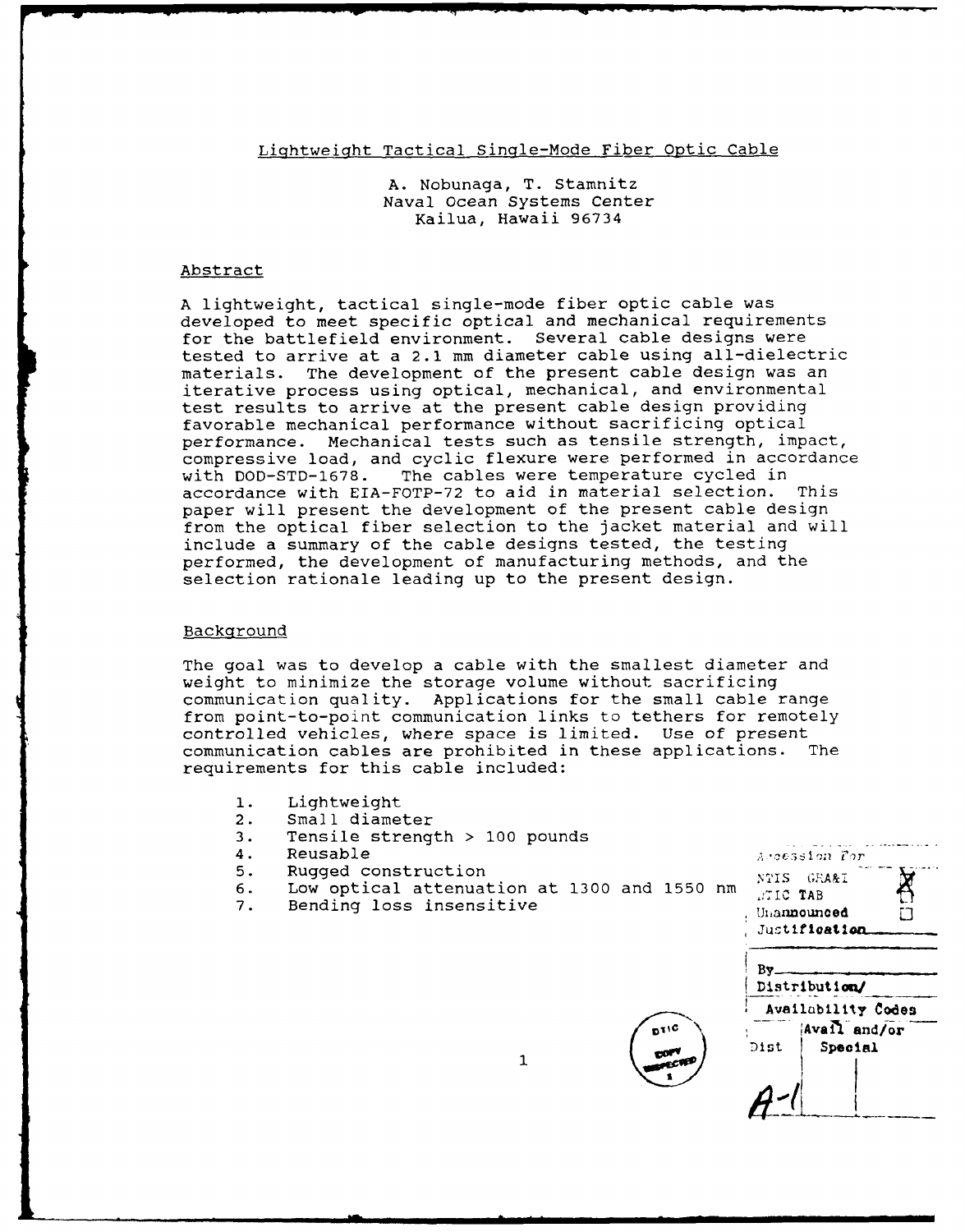## Lightweight Tactical Single-Mode Fiber Optic Cable

A. Nobunaga, T. Stamnitz Naval Ocean Systems Center Kailua, Hawaii 96734

#### Abstract

A lightweight, tactical single-mode fiber optic cable was developed to meet specific optical and mechanical requirements for the battlefield environment. Several cable designs were tested to arrive at a 2.1 mm diameter cable using all-dielectric materials. The development of the present cable design was an iterative process using optical, mechanical, and environmental test results to arrive at the present cable design providing favorable mechanical performance without sacrificing optical performance. Mechanical tests such as tensile strength, impact, compressive load, and cyclic flexure were performed in accordance with DOD-STD-1678. The cables were temperature cycled in accordance with EIA-FOTP-72 to aid in material selection. This paper will present the development of the present cable design from the optical fiber selection to the jacket material and will include a summary of the cable designs tested, the testing performed, the development of manufacturing methods, and the selection rationale leading up to the present design.

#### Background

The goal was to develop a cable with the smallest diameter and weight to minimize the storage volume without sacrificing communication quality. Applications for the small cable range from point-to-point communication links to tethers for remotely controlled vehicles, where space is limited. Use of present communication cables are prohibited in these applications. The requirements for this cable included:

- **1.** Lightweight
- 2. Small diameter
- 3. Tensile strength > **100** pounds
- 
- 5. Rugged construction 1998 1999 1999 NTIS GRAAI
- 6. Low optical attenuation at 1300 and 1550 nm **:710** TAB
- 7. Bending loss insensitive



Dist Special

 $\mathbf{1}$